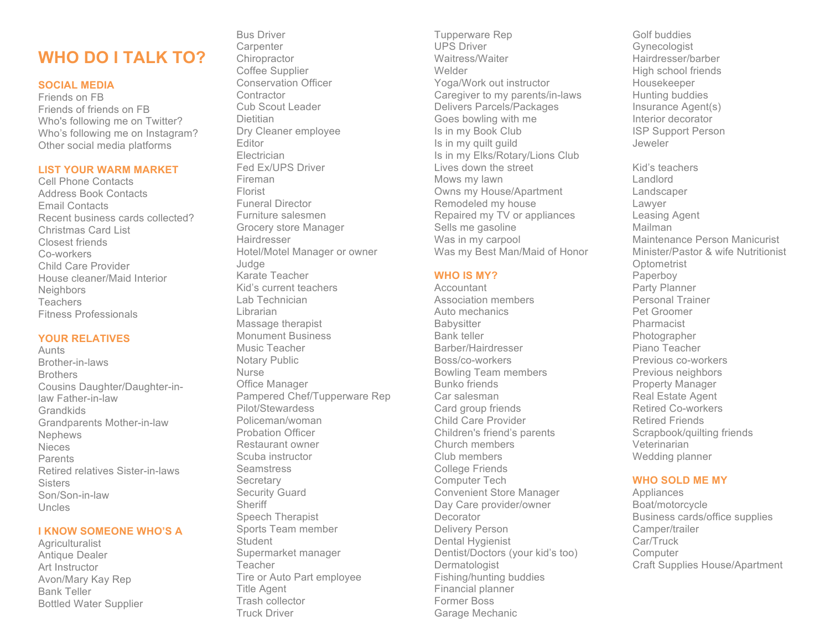## **WHO DO I TALK TO?**

#### **SOCIAL MEDIA**

Friends on FB Friends of friends on FB Who's following me on Twitter? Who's following me on Instagram? Other social media platforms

#### **LIST YOUR WARM MARKET**

Cell Phone Contacts Address Book Contacts Email Contacts Recent business cards collected? Christmas Card List Closest friends Co-workers Child Care Provider House cleaner/Maid Interior Neighbors Teachers Fitness Professionals

#### **YOUR RELATIVES**

Aunts Brother-in-laws Brothers Cousins Daughter/Daughter-inlaw Father-in-law Grandkids Grandparents Mother-in-law Nephews **Nieces** Parents Retired relatives Sister-in-laws **Sisters** Son/Son-in-law Uncles

#### **I KNOW SOMEONE WHO'S A**

**Agriculturalist** Antique Dealer Art Instructor Avon/Mary Kay Rep Bank Teller Bottled Water Supplier

Bus Driver **Carpenter Chiropractor** Coffee Supplier Conservation Officer **Contractor** Cub Scout Leader **Dietitian** Dry Cleaner employee Editor Electrician Fed Ex/UPS Driver Fireman Florist Funeral Director Furniture salesmen Grocery store Manager **Hairdresser** Hotel/Motel Manager or owner Judge Karate Teacher Kid's current teachers Lab Technician Librarian Massage therapist Monument Business Music Teacher Notary Public Nurse Office Manager Pampered Chef/Tupperware Rep Pilot/Stewardess Policeman/woman Probation Officer Restaurant owner Scuba instructor **Seamstress Secretary** Security Guard **Sheriff** Speech Therapist Sports Team member **Student** Supermarket manager Teacher Tire or Auto Part employee Title Agent Trash collector Truck Driver

Tupperware Rep UPS Driver Waitress/Waiter Welder Yoga/Work out instructor Caregiver to my parents/in-laws Delivers Parcels/Packages Goes bowling with me Is in my Book Club Is in my quilt guild Is in my Elks/Rotary/Lions Club Lives down the street Mows my lawn Owns my House/Apartment Remodeled my house Repaired my TV or appliances Sells me gasoline Was in my carpool Was my Best Man/Maid of Honor

#### **WHO IS MY?**

**Accountant** Association members Auto mechanics **Babysitter** Bank teller Barber/Hairdresser Boss/co-workers Bowling Team members Bunko friends Car salesman Card group friends Child Care Provider Children's friend's parents Church members Club members College Friends Computer Tech Convenient Store Manager Day Care provider/owner **Decorator** Delivery Person Dental Hygienist Dentist/Doctors (your kid's too) Dermatologist Fishing/hunting buddies Financial planner Former Boss Garage Mechanic

Golf buddies Gynecologist Hairdresser/barber High school friends Housekeeper Hunting buddies Insurance Agent(s) Interior decorator ISP Support Person Jeweler Kid's teachers Landlord

Landscaper Lawyer Leasing Agent Mailman Maintenance Person Manicurist Minister/Pastor & wife Nutritionist **Optometrist** Paperboy Party Planner Personal Trainer Pet Groomer Pharmacist Photographer Piano Teacher Previous co-workers Previous neighbors Property Manager Real Estate Agent Retired Co-workers Retired Friends Scrapbook/quilting friends Veterinarian Wedding planner

### **WHO SOLD ME MY**

Appliances Boat/motorcycle Business cards/office supplies Camper/trailer Car/Truck **Computer** Craft Supplies House/Apartment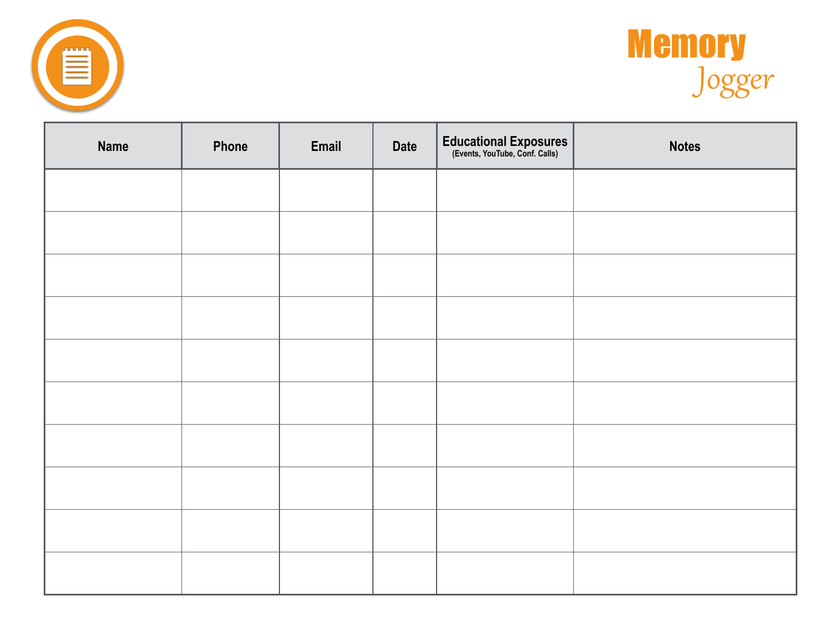



| <b>Name</b> | Phone | Email | <b>Date</b> | Educational Exposures<br>(Events, YouTube, Conf. Calls) | <b>Notes</b> |
|-------------|-------|-------|-------------|---------------------------------------------------------|--------------|
|             |       |       |             |                                                         |              |
|             |       |       |             |                                                         |              |
|             |       |       |             |                                                         |              |
|             |       |       |             |                                                         |              |
|             |       |       |             |                                                         |              |
|             |       |       |             |                                                         |              |
|             |       |       |             |                                                         |              |
|             |       |       |             |                                                         |              |
|             |       |       |             |                                                         |              |
|             |       |       |             |                                                         |              |